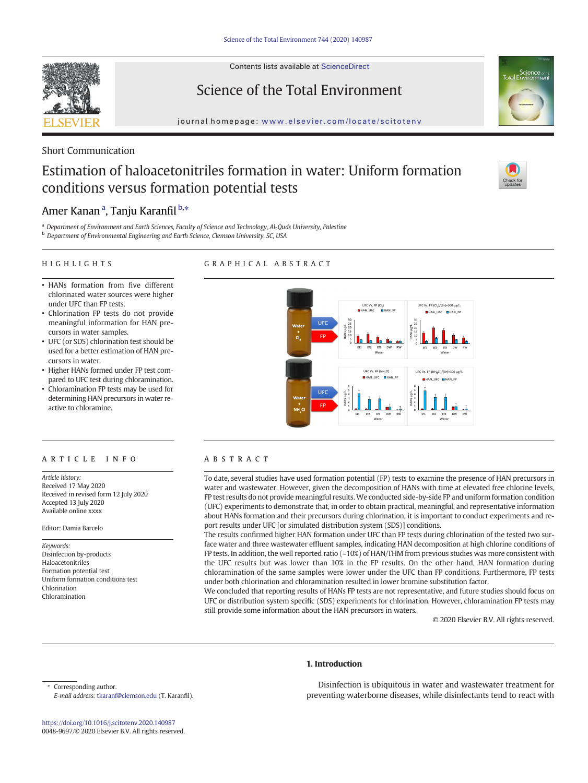Contents lists available at ScienceDirect



Science of the Total Environment



journal homepage: <www.elsevier.com/locate/scitotenv>

## Short Communication

# Estimation of haloacetonitriles formation in water: Uniform formation conditions versus formation potential tests



# Amer Kanan <sup>a</sup>, Tanju Karanfil <sup>b,</sup>\*

<sup>a</sup> Department of Environment and Earth Sciences, Faculty of Science and Technology, Al-Quds University, Palestine

**b** Department of Environmental Engineering and Earth Science, Clemson University, SC, USA

#### HIGHLIGHTS

#### GRAPHICAL ABSTRACT

- HANs formation from five different chlorinated water sources were higher under UFC than FP tests.
- Chlorination FP tests do not provide meaningful information for HAN precursors in water samples.
- UFC (or SDS) chlorination test should be used for a better estimation of HAN precursors in water.
- Higher HANs formed under FP test compared to UFC test during chloramination.
- Chloramination FP tests may be used for determining HAN precursors in water reactive to chloramine.

#### ARTICLE INFO ABSTRACT

Article history: Received 17 May 2020 Received in revised form 12 July 2020 Accepted 13 July 2020 Available online xxxx

Editor: Damia Barcelo

Keywords: Disinfection by-products Haloacetonitriles Formation potential test Uniform formation conditions test Chlorination Chloramination



To date, several studies have used formation potential (FP) tests to examine the presence of HAN precursors in water and wastewater. However, given the decomposition of HANs with time at elevated free chlorine levels, FP test results do not provide meaningful results.We conducted side-by-side FP and uniform formation condition (UFC) experiments to demonstrate that, in order to obtain practical, meaningful, and representative information about HANs formation and their precursors during chlorination, it is important to conduct experiments and report results under UFC [or simulated distribution system (SDS)] conditions.

The results confirmed higher HAN formation under UFC than FP tests during chlorination of the tested two surface water and three wastewater effluent samples, indicating HAN decomposition at high chlorine conditions of FP tests. In addition, the well reported ratio (~10%) of HAN/THM from previous studies was more consistent with the UFC results but was lower than 10% in the FP results. On the other hand, HAN formation during chloramination of the same samples were lower under the UFC than FP conditions. Furthermore, FP tests under both chlorination and chloramination resulted in lower bromine substitution factor.

We concluded that reporting results of HANs FP tests are not representative, and future studies should focus on UFC or distribution system specific (SDS) experiments for chlorination. However, chloramination FP tests may still provide some information about the HAN precursors in waters.

© 2020 Elsevier B.V. All rights reserved.

#### 1. Introduction

Corresponding author. E-mail address: [tkaranf@clemson.edu](mailto:tkaranf@clemson.edu) (T. Karanfil).

Disinfection is ubiquitous in water and wastewater treatment for preventing waterborne diseases, while disinfectants tend to react with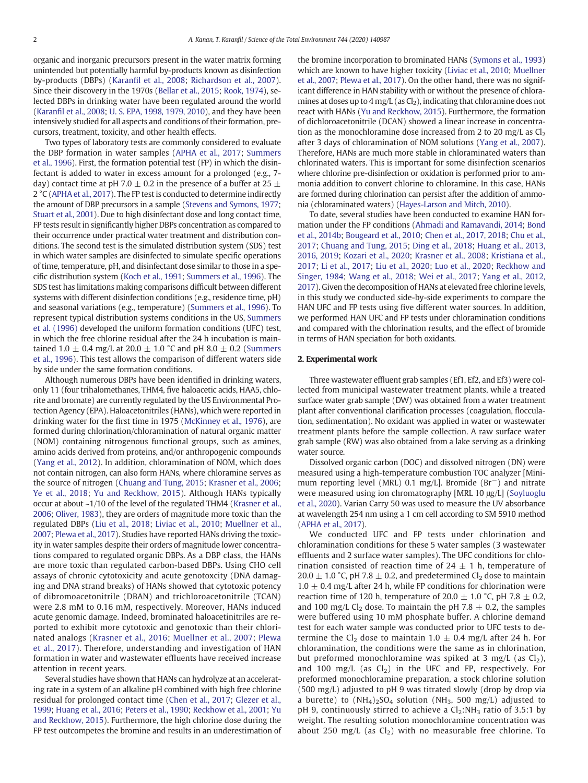organic and inorganic precursors present in the water matrix forming unintended but potentially harmful by-products known as disinfection by-products (DBPs) (Karanfi[l et al., 2008;](#page-4-0) [Richardson et al., 2007](#page-4-0)). Since their discovery in the 1970s [\(Bellar et al., 2015;](#page-4-0) [Rook, 1974\)](#page-4-0), selected DBPs in drinking water have been regulated around the world (Karanfi[l et al., 2008](#page-4-0); [U. S. EPA, 1998, 1979, 2010](#page-5-0)), and they have been intensively studied for all aspects and conditions of their formation, precursors, treatment, toxicity, and other health effects.

Two types of laboratory tests are commonly considered to evaluate the DBP formation in water samples [\(APHA et al., 2017](#page-4-0); [Summers](#page-4-0) [et al., 1996\)](#page-4-0). First, the formation potential test (FP) in which the disinfectant is added to water in excess amount for a prolonged (e.g., 7 day) contact time at pH 7.0  $\pm$  0.2 in the presence of a buffer at 25  $\pm$ 2 °C ([APHA et al., 2017](#page-4-0)). The FP test is conducted to determine indirectly the amount of DBP precursors in a sample [\(Stevens and Symons, 1977](#page-4-0); [Stuart et al., 2001\)](#page-4-0). Due to high disinfectant dose and long contact time, FP tests result in significantly higher DBPs concentration as compared to their occurrence under practical water treatment and distribution conditions. The second test is the simulated distribution system (SDS) test in which water samples are disinfected to simulate specific operations of time, temperature, pH, and disinfectant dose similar to those in a specific distribution system [\(Koch et al., 1991](#page-4-0); [Summers et al., 1996](#page-4-0)). The SDS test has limitations making comparisons difficult between different systems with different disinfection conditions (e.g., residence time, pH) and seasonal variations (e.g., temperature) [\(Summers et al., 1996\)](#page-4-0). To represent typical distribution systems conditions in the US, [Summers](#page-4-0) [et al. \(1996\)](#page-4-0) developed the uniform formation conditions (UFC) test, in which the free chlorine residual after the 24 h incubation is maintained 1.0  $\pm$  0.4 mg/L at 20.0  $\pm$  1.0 °C and pH 8.0  $\pm$  0.2 [\(Summers](#page-4-0) [et al., 1996\)](#page-4-0). This test allows the comparison of different waters side by side under the same formation conditions.

Although numerous DBPs have been identified in drinking waters, only 11 (four trihalomethanes, THM4, five haloacetic acids, HAA5, chlorite and bromate) are currently regulated by the US Environmental Protection Agency (EPA). Haloacetonitriles (HANs), which were reported in drinking water for the first time in 1975 ([McKinney et al., 1976\)](#page-4-0), are formed during chlorination/chloramination of natural organic matter (NOM) containing nitrogenous functional groups, such as amines, amino acids derived from proteins, and/or anthropogenic compounds [\(Yang et al., 2012\)](#page-5-0). In addition, chloramination of NOM, which does not contain nitrogen, can also form HANs, where chloramine serves as the source of nitrogen [\(Chuang and Tung, 2015;](#page-4-0) [Krasner et al., 2006](#page-4-0); [Ye et al., 2018](#page-5-0); [Yu and Reckhow, 2015](#page-5-0)). Although HANs typically occur at about ~1/10 of the level of the regulated THM4 ([Krasner et al.,](#page-4-0) [2006;](#page-4-0) [Oliver, 1983](#page-4-0)), they are orders of magnitude more toxic than the regulated DBPs ([Liu et al., 2018;](#page-4-0) [Liviac et al., 2010;](#page-4-0) [Muellner et al.,](#page-4-0) [2007;](#page-4-0) [Plewa et al., 2017\)](#page-4-0). Studies have reported HANs driving the toxicity in water samples despite their orders of magnitude lower concentrations compared to regulated organic DBPs. As a DBP class, the HANs are more toxic than regulated carbon-based DBPs. Using CHO cell assays of chronic cytotoxicity and acute genotoxcity (DNA damaging and DNA strand breaks) of HANs showed that cytotoxic potency of dibromoacetonitrile (DBAN) and trichloroacetonitrile (TCAN) were 2.8 mM to 0.16 mM, respectively. Moreover, HANs induced acute genomic damage. Indeed, brominated haloacetinitriles are reported to exhibit more cytotoxic and genotoxic than their chlorinated analogs ([Krasner et al., 2016;](#page-4-0) [Muellner et al., 2007](#page-4-0); [Plewa](#page-4-0) [et al., 2017](#page-4-0)). Therefore, understanding and investigation of HAN formation in water and wastewater effluents have received increase attention in recent years.

Several studies have shown that HANs can hydrolyze at an accelerating rate in a system of an alkaline pH combined with high free chlorine residual for prolonged contact time [\(Chen et al., 2017](#page-4-0); [Glezer et al.,](#page-4-0) [1999;](#page-4-0) [Huang et al., 2016](#page-4-0); [Peters et al., 1990;](#page-4-0) [Reckhow et al., 2001](#page-4-0); [Yu](#page-5-0) [and Reckhow, 2015](#page-5-0)). Furthermore, the high chlorine dose during the FP test outcompetes the bromine and results in an underestimation of the bromine incorporation to brominated HANs [\(Symons et al., 1993](#page-4-0)) which are known to have higher toxicity ([Liviac et al., 2010](#page-4-0); [Muellner](#page-4-0) [et al., 2007](#page-4-0); [Plewa et al., 2017](#page-4-0)). On the other hand, there was no significant difference in HAN stability with or without the presence of chloramines at doses up to 4 mg/L (as  $Cl<sub>2</sub>$ ), indicating that chloramine does not react with HANs ([Yu and Reckhow, 2015](#page-5-0)). Furthermore, the formation of dichloroacetonitrile (DCAN) showed a linear increase in concentration as the monochloramine dose increased from 2 to 20 mg/L as  $Cl<sub>2</sub>$ after 3 days of chloramination of NOM solutions [\(Yang et al., 2007](#page-5-0)). Therefore, HANs are much more stable in chloraminated waters than chlorinated waters. This is important for some disinfection scenarios where chlorine pre-disinfection or oxidation is performed prior to ammonia addition to convert chlorine to chloramine. In this case, HANs are formed during chlorination can persist after the addition of ammonia (chloraminated waters) ([Hayes-Larson and Mitch, 2010\)](#page-4-0).

To date, several studies have been conducted to examine HAN formation under the FP conditions [\(Ahmadi and Ramavandi, 2014](#page-4-0); [Bond](#page-4-0) [et al., 2014b](#page-4-0); [Bougeard et al., 2010;](#page-4-0) [Chen et al., 2017, 2018;](#page-4-0) [Chu et al.,](#page-4-0) [2017](#page-4-0); [Chuang and Tung, 2015;](#page-4-0) [Ding et al., 2018;](#page-4-0) [Huang et al., 2013,](#page-4-0) [2016, 2019;](#page-4-0) [Kozari et al., 2020](#page-4-0); [Krasner et al., 2008](#page-4-0); [Kristiana et al.,](#page-4-0) [2017](#page-4-0); [Li et al., 2017](#page-4-0); [Liu et al., 2020](#page-4-0); [Luo et al., 2020;](#page-4-0) [Reckhow and](#page-4-0) [Singer, 1984;](#page-4-0) [Wang et al., 2018](#page-5-0); [Wei et al., 2017](#page-5-0); [Yang et al., 2012,](#page-5-0) [2017\)](#page-5-0). Given the decomposition of HANs at elevated free chlorine levels, in this study we conducted side-by-side experiments to compare the HAN UFC and FP tests using five different water sources. In addition, we performed HAN UFC and FP tests under chloramination conditions and compared with the chlorination results, and the effect of bromide in terms of HAN speciation for both oxidants.

#### 2. Experimental work

Three wastewater effluent grab samples (Ef1, Ef2, and Ef3) were collected from municipal wastewater treatment plants, while a treated surface water grab sample (DW) was obtained from a water treatment plant after conventional clarification processes (coagulation, flocculation, sedimentation). No oxidant was applied in water or wastewater treatment plants before the sample collection. A raw surface water grab sample (RW) was also obtained from a lake serving as a drinking water source.

Dissolved organic carbon (DOC) and dissolved nitrogen (DN) were measured using a high-temperature combustion TOC analyzer [Minimum reporting level (MRL) 0.1 mg/L]. Bromide (Br−) and nitrate were measured using ion chromatography [MRL 10 μg/L] ([Soyluoglu](#page-4-0) [et al., 2020](#page-4-0)). Varian Carry 50 was used to measure the UV absorbance at wavelength 254 nm using a 1 cm cell according to SM 5910 method [\(APHA et al., 2017](#page-4-0)).

We conducted UFC and FP tests under chlorination and chloramination conditions for these 5 water samples (3 wastewater effluents and 2 surface water samples). The UFC conditions for chlorination consisted of reaction time of  $24 \pm 1$  h, temperature of 20.0  $\pm$  1.0 °C, pH 7.8  $\pm$  0.2, and predetermined Cl<sub>2</sub> dose to maintain  $1.0 \pm 0.4$  mg/L after 24 h, while FP conditions for chlorination were reaction time of 120 h, temperature of 20.0  $\pm$  1.0 °C, pH 7.8  $\pm$  0.2, and 100 mg/L Cl<sub>2</sub> dose. To maintain the pH 7.8  $\pm$  0.2, the samples were buffered using 10 mM phosphate buffer. A chlorine demand test for each water sample was conducted prior to UFC tests to determine the Cl<sub>2</sub> dose to maintain 1.0  $\pm$  0.4 mg/L after 24 h. For chloramination, the conditions were the same as in chlorination, but preformed monochloramine was spiked at 3 mg/L (as  $Cl<sub>2</sub>$ ), and 100 mg/L (as  $Cl<sub>2</sub>$ ) in the UFC and FP, respectively. For preformed monochloramine preparation, a stock chlorine solution (500 mg/L) adjusted to pH 9 was titrated slowly (drop by drop via a burette) to  $(NH_4)_2SO_4$  solution  $(NH_3, 500 \text{ mg/L})$  adjusted to pH 9, continuously stirred to achieve a  $Cl<sub>2</sub>:NH<sub>3</sub>$  ratio of 3.5:1 by weight. The resulting solution monochloramine concentration was about 250 mg/L (as  $Cl<sub>2</sub>$ ) with no measurable free chlorine. To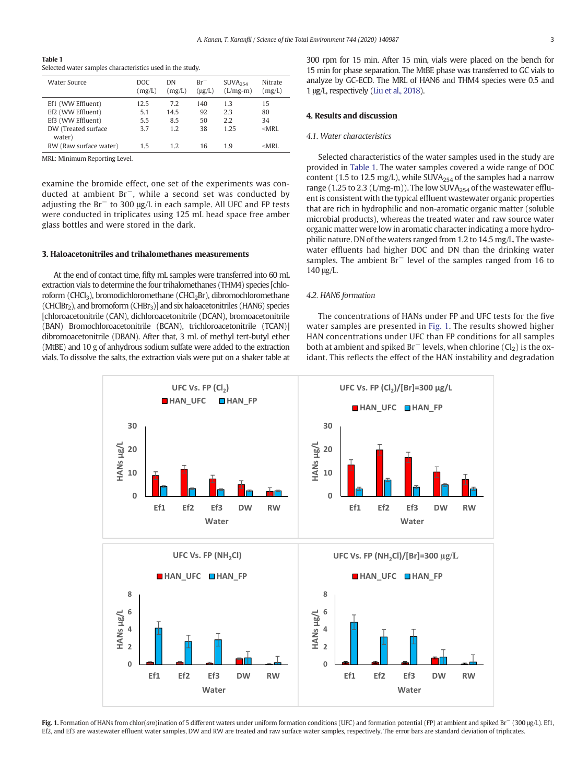<span id="page-2-0"></span>Table 1 Selected water samples characteristics used in the study.

| Water Source                                                                                 | DOC.<br>(mg/L)            | DN<br>(mg/L)             | $Br^-$<br>$(\mu g/L)$ | SUVA <sub>254</sub><br>$(L/mg-m)$ | Nitrate<br>(mg/L)          |
|----------------------------------------------------------------------------------------------|---------------------------|--------------------------|-----------------------|-----------------------------------|----------------------------|
| Ef1 (WW Effluent)<br>Ef2 (WW Effluent)<br>Ef3 (WW Effluent)<br>DW (Treated surface<br>water) | 12.5<br>5.1<br>5.5<br>3.7 | 7.2<br>14.5<br>8.5<br>12 | 140<br>92<br>50<br>38 | 1.3<br>2.3<br>2.2<br>1.25         | 15<br>80<br>34<br>$<$ MRI. |
| RW (Raw surface water)                                                                       | 15                        | 1.2                      | 16                    | 1 q                               | $<$ MRI.                   |

MRL: Minimum Reporting Level.

examine the bromide effect, one set of the experiments was conducted at ambient Br−, while a second set was conducted by adjusting the Br<sup>−</sup> to 300 μg/L in each sample. All UFC and FP tests were conducted in triplicates using 125 mL head space free amber glass bottles and were stored in the dark.

#### 3. Haloacetonitriles and trihalomethanes measurements

At the end of contact time, fifty mL samples were transferred into 60 mL extraction vials to determine the four trihalomethanes (THM4) species [chloroform (CHCl<sub>3</sub>), bromodichloromethane (CHCl<sub>2</sub>Br), dibromochloromethane (CHClBr<sub>2</sub>), and bromoform (CHBr<sub>3</sub>)] and six haloacetonitriles (HAN6) species [chloroacetonitrile (CAN), dichloroacetonitrile (DCAN), bromoacetonitrile (BAN) Bromochloroacetonitrile (BCAN), trichloroacetonitrile (TCAN)] dibromoacetonitrile (DBAN). After that, 3 mL of methyl tert-butyl ether (MtBE) and 10 g of anhydrous sodium sulfate were added to the extraction vials. To dissolve the salts, the extraction vials were put on a shaker table at

#### 4. Results and discussion

#### 4.1. Water characteristics

Selected characteristics of the water samples used in the study are provided in Table 1. The water samples covered a wide range of DOC content (1.5 to 12.5 mg/L), while SUVA $_{254}$  of the samples had a narrow range (1.25 to 2.3 (L/mg-m)). The low SUVA $_{254}$  of the wastewater effluent is consistent with the typical effluent wastewater organic properties that are rich in hydrophilic and non-aromatic organic matter (soluble microbial products), whereas the treated water and raw source water organic matter were low in aromatic character indicating a more hydrophilic nature. DN of the waters ranged from 1.2 to 14.5 mg/L. The wastewater effluents had higher DOC and DN than the drinking water samples. The ambient Br<sup>−</sup> level of the samples ranged from 16 to 140 μg/L.

### 4.2. HAN6 formation

The concentrations of HANs under FP and UFC tests for the five water samples are presented in Fig. 1. The results showed higher HAN concentrations under UFC than FP conditions for all samples both at ambient and spiked Br<sup>−</sup> levels, when chlorine (Cl<sub>2</sub>) is the oxidant. This reflects the effect of the HAN instability and degradation



Fig. 1. Formation of HANs from chlor(am)ination of 5 different waters under uniform formation conditions (UFC) and formation potential (FP) at ambient and spiked Br<sup>−</sup> (300 μg/L). Ef1, Ef2, and Ef3 are wastewater effluent water samples, DW and RW are treated and raw surface water samples, respectively. The error bars are standard deviation of triplicates.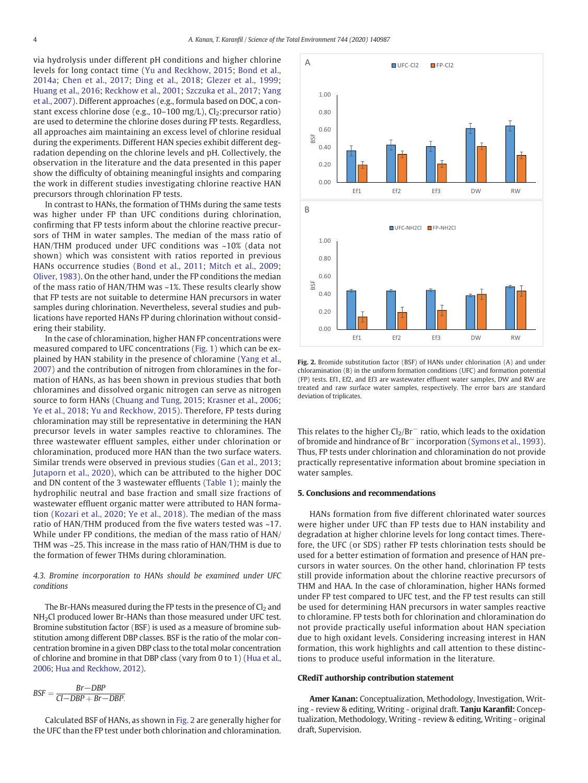via hydrolysis under different pH conditions and higher chlorine levels for long contact time ([Yu and Reckhow, 2015;](#page-5-0) [Bond et al.,](#page-4-0) [2014a](#page-4-0); [Chen et al., 2017;](#page-4-0) [Ding et al., 2018](#page-4-0); [Glezer et al., 1999](#page-4-0); [Huang et al., 2016](#page-4-0); [Reckhow et al., 2001](#page-4-0); [Szczuka et al., 2017](#page-4-0); [Yang](#page-5-0) [et al., 2007](#page-5-0)). Different approaches (e.g., formula based on DOC, a constant excess chlorine dose (e.g.,  $10-100$  mg/L),  $Cl_2$ :precursor ratio) are used to determine the chlorine doses during FP tests. Regardless, all approaches aim maintaining an excess level of chlorine residual during the experiments. Different HAN species exhibit different degradation depending on the chlorine levels and pH. Collectively, the observation in the literature and the data presented in this paper show the difficulty of obtaining meaningful insights and comparing the work in different studies investigating chlorine reactive HAN precursors through chlorination FP tests.

In contrast to HANs, the formation of THMs during the same tests was higher under FP than UFC conditions during chlorination, confirming that FP tests inform about the chlorine reactive precursors of THM in water samples. The median of the mass ratio of HAN/THM produced under UFC conditions was ~10% (data not shown) which was consistent with ratios reported in previous HANs occurrence studies ([Bond et al., 2011;](#page-4-0) [Mitch et al., 2009](#page-4-0); [Oliver, 1983](#page-4-0)). On the other hand, under the FP conditions the median of the mass ratio of HAN/THM was ~1%. These results clearly show that FP tests are not suitable to determine HAN precursors in water samples during chlorination. Nevertheless, several studies and publications have reported HANs FP during chlorination without considering their stability.

In the case of chloramination, higher HAN FP concentrations were measured compared to UFC concentrations ([Fig. 1](#page-2-0)) which can be explained by HAN stability in the presence of chloramine [\(Yang et al.,](#page-5-0) [2007](#page-5-0)) and the contribution of nitrogen from chloramines in the formation of HANs, as has been shown in previous studies that both chloramines and dissolved organic nitrogen can serve as nitrogen source to form HANs ([Chuang and Tung, 2015](#page-4-0); [Krasner et al., 2006](#page-4-0); [Ye et al., 2018](#page-5-0); [Yu and Reckhow, 2015](#page-5-0)). Therefore, FP tests during chloramination may still be representative in determining the HAN precursor levels in water samples reactive to chloramines. The three wastewater effluent samples, either under chlorination or chloramination, produced more HAN than the two surface waters. Similar trends were observed in previous studies ([Gan et al., 2013](#page-4-0); [Jutaporn et al., 2020](#page-4-0)), which can be attributed to the higher DOC and DN content of the 3 wastewater effluents [\(Table 1](#page-2-0)); mainly the hydrophilic neutral and base fraction and small size fractions of wastewater effluent organic matter were attributed to HAN formation [\(Kozari et al., 2020](#page-4-0); [Ye et al., 2018\)](#page-5-0). The median of the mass ratio of HAN/THM produced from the five waters tested was ~17. While under FP conditions, the median of the mass ratio of HAN/ THM was ~25. This increase in the mass ratio of HAN/THM is due to the formation of fewer THMs during chloramination.

#### 4.3. Bromine incorporation to HANs should be examined under UFC conditions

The Br-HANs measured during the FP tests in the presence of  $Cl<sub>2</sub>$  and NH2Cl produced lower Br-HANs than those measured under UFC test. Bromine substitution factor (BSF) is used as a measure of bromine substitution among different DBP classes. BSF is the ratio of the molar concentration bromine in a given DBP class to the total molar concentration of chlorine and bromine in that DBP class (vary from 0 to 1) [\(Hua et al.,](#page-4-0) [2006;](#page-4-0) [Hua and Reckhow, 2012](#page-4-0)).

$$
BSF = \frac{Br - DBP}{Cl - DBP + Br - DBP}.
$$

Calculated BSF of HANs, as shown in Fig. 2 are generally higher for the UFC than the FP test under both chlorination and chloramination.



Fig. 2. Bromide substitution factor (BSF) of HANs under chlorination (A) and under chloramination (B) in the uniform formation conditions (UFC) and formation potential (FP) tests. Ef1, Ef2, and Ef3 are wastewater effluent water samples, DW and RW are treated and raw surface water samples, respectively. The error bars are standard deviation of triplicates.

This relates to the higher  $Cl_2/Br^-$  ratio, which leads to the oxidation of bromide and hindrance of Br<sup>−</sup> incorporation ([Symons et al., 1993](#page-4-0)). Thus, FP tests under chlorination and chloramination do not provide practically representative information about bromine speciation in water samples.

#### 5. Conclusions and recommendations

HANs formation from five different chlorinated water sources were higher under UFC than FP tests due to HAN instability and degradation at higher chlorine levels for long contact times. Therefore, the UFC (or SDS) rather FP tests chlorination tests should be used for a better estimation of formation and presence of HAN precursors in water sources. On the other hand, chlorination FP tests still provide information about the chlorine reactive precursors of THM and HAA. In the case of chloramination, higher HANs formed under FP test compared to UFC test, and the FP test results can still be used for determining HAN precursors in water samples reactive to chloramine. FP tests both for chlorination and chloramination do not provide practically useful information about HAN speciation due to high oxidant levels. Considering increasing interest in HAN formation, this work highlights and call attention to these distinctions to produce useful information in the literature.

#### CRediT authorship contribution statement

Amer Kanan: Conceptualization, Methodology, Investigation, Writing - review & editing, Writing - original draft. Tanju Karanfil: Conceptualization, Methodology, Writing - review & editing, Writing - original draft, Supervision.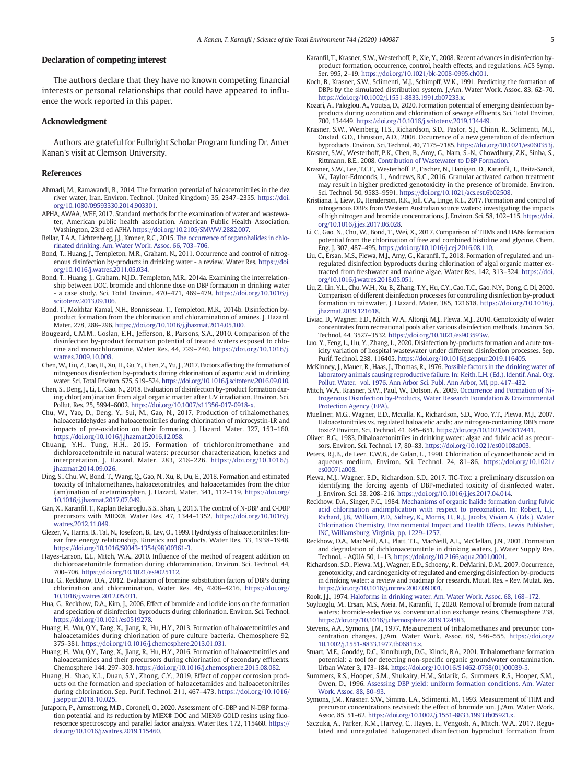#### <span id="page-4-0"></span>Declaration of competing interest

The authors declare that they have no known competing financial interests or personal relationships that could have appeared to influence the work reported in this paper.

#### Acknowledgment

Authors are grateful for Fulbright Scholar Program funding Dr. Amer Kanan's visit at Clemson University.

#### References

- Ahmadi, M., Ramavandi, B., 2014. The formation potential of haloacetonitriles in the dez river water, Iran. Environ. Technol. (United Kingdom) 35, 2347–2355. [https://doi.](https://doi.org/10.1080/09593330.2014.903301) [org/10.1080/09593330.2014.903301.](https://doi.org/10.1080/09593330.2014.903301)
- APHA, AWAA, WEF, 2017. Standard methods for the examination of water and wastewater, American public health association. American Public Health Association, Washington, 23rd ed APHA <https://doi.org/10.2105/SMWW.2882.007>.
- Bellar, T.A.A., Lichtenberg, J.J., Kroner, R.C., 2015. [The occurrence of organohalides in chlo-](http://refhub.elsevier.com/S0048-9697(20)34516-2/rf0015)[rinated drinking. Am. Water Work. Assoc. 66, 703](http://refhub.elsevier.com/S0048-9697(20)34516-2/rf0015)–706.
- Bond, T., Huang, J., Templeton, M.R., Graham, N., 2011. Occurrence and control of nitrogenous disinfection by-products in drinking water - a review. Water Res. [https://doi.](https://doi.org/10.1016/j.watres.2011.05.034) [org/10.1016/j.watres.2011.05.034](https://doi.org/10.1016/j.watres.2011.05.034).
- Bond, T., Huang, J., Graham, N.J.D., Templeton, M.R., 2014a. Examining the interrelationship between DOC, bromide and chlorine dose on DBP formation in drinking water - a case study. Sci. Total Environ. 470–471, 469–479. [https://doi.org/10.1016/j.](https://doi.org/10.1016/j.scitotenv.2013.09.106) [scitotenv.2013.09.106](https://doi.org/10.1016/j.scitotenv.2013.09.106).
- Bond, T., Mokhtar Kamal, N.H., Bonnisseau, T., Templeton, M.R., 2014b. Disinfection byproduct formation from the chlorination and chloramination of amines. J. Hazard. Mater. 278, 288–296. [https://doi.org/10.1016/j.jhazmat.2014.05.100.](https://doi.org/10.1016/j.jhazmat.2014.05.100)
- Bougeard, C.M.M., Goslan, E.H., Jefferson, B., Parsons, S.A., 2010. Comparison of the disinfection by-product formation potential of treated waters exposed to chlorine and monochloramine. Water Res. 44, 729–740. [https://doi.org/10.1016/j.](https://doi.org/10.1016/j.watres.2009.10.008) [watres.2009.10.008](https://doi.org/10.1016/j.watres.2009.10.008).
- Chen, W., Liu, Z., Tao, H., Xu, H., Gu, Y., Chen, Z., Yu, J., 2017. Factors affecting the formation of nitrogenous disinfection by-products during chlorination of aspartic acid in drinking water. Sci. Total Environ. 575, 519–524. <https://doi.org/10.1016/j.scitotenv.2016.09.010>.
- Chen, S., Deng, J., Li, L., Gao, N., 2018. Evaluation of disinfection by-product formation during chlor(am)ination from algal organic matter after UV irradiation. Environ. Sci. Pollut. Res. 25, 5994–6002. [https://doi.org/10.1007/s11356-017-0918-x.](https://doi.org/10.1007/s11356-017-0918-x)
- Chu, W., Yao, D., Deng, Y., Sui, M., Gao, N., 2017. Production of trihalomethanes, haloacetaldehydes and haloacetonitriles during chlorination of microcystin-LR and impacts of pre-oxidation on their formation. J. Hazard. Mater. 327, 153–160. [https://doi.org/10.1016/j.jhazmat.2016.12.058.](https://doi.org/10.1016/j.jhazmat.2016.12.058)
- Chuang, Y.H., Tung, H.H., 2015. Formation of trichloronitromethane and dichloroacetonitrile in natural waters: precursor characterization, kinetics and interpretation. J. Hazard. Mater. 283, 218–226. [https://doi.org/10.1016/j.](https://doi.org/10.1016/j.jhazmat.2014.09.026) [jhazmat.2014.09.026](https://doi.org/10.1016/j.jhazmat.2014.09.026).
- Ding, S., Chu, W., Bond, T., Wang, Q., Gao, N., Xu, B., Du, E., 2018. Formation and estimated toxicity of trihalomethanes, haloacetonitriles, and haloacetamides from the chlor (am)ination of acetaminophen. J. Hazard. Mater. 341, 112–119. [https://doi.org/](https://doi.org/10.1016/j.jhazmat.2017.07.049) [10.1016/j.jhazmat.2017.07.049.](https://doi.org/10.1016/j.jhazmat.2017.07.049)
- Gan, X., Karanfil, T., Kaplan Bekaroglu, S.S., Shan, J., 2013. The control of N-DBP and C-DBP precursors with MIEX®. Water Res. 47, 1344–1352. [https://doi.org/10.1016/j.](https://doi.org/10.1016/j.watres.2012.11.049) [watres.2012.11.049.](https://doi.org/10.1016/j.watres.2012.11.049)
- Glezer, V., Harris, B., Tal, N., Iosefzon, B., Lev, O., 1999. Hydrolysis of haloacetonitriles: linear free energy relationship. Kinetics and products. Water Res. 33, 1938–1948. [https://doi.org/10.1016/S0043-1354\(98\)00361-3.](https://doi.org/10.1016/S0043-1354(98)00361-3)
- Hayes-Larson, E.L., Mitch, W.A., 2010. Influence of the method of reagent addition on dichloroacetonitrile formation during chloramination. Environ. Sci. Technol. 44, 700–706. <https://doi.org/10.1021/es9025112>.
- Hua, G., Reckhow, D.A., 2012. Evaluation of bromine substitution factors of DBPs during chlorination and chloramination. Water Res. 46, 4208–4216. [https://doi.org/](https://doi.org/10.1016/j.watres.2012.05.031) [10.1016/j.watres.2012.05.031.](https://doi.org/10.1016/j.watres.2012.05.031)
- Hua, G., Reckhow, D.A., Kim, J., 2006. Effect of bromide and iodide ions on the formation and speciation of disinfection byproducts during chlorination. Environ. Sci. Technol. <https://doi.org/10.1021/es0519278>.
- Huang, H., Wu, Q.Y., Tang, X., Jiang, R., Hu, H.Y., 2013. Formation of haloacetonitriles and haloacetamides during chlorination of pure culture bacteria. Chemosphere 92, 375–381. <https://doi.org/10.1016/j.chemosphere.2013.01.031>.
- Huang, H., Wu, Q.Y., Tang, X., Jiang, R., Hu, H.Y., 2016. Formation of haloacetonitriles and haloacetamides and their precursors during chlorination of secondary effluents. Chemosphere 144, 297–303. [https://doi.org/10.1016/j.chemosphere.2015.08.082.](https://doi.org/10.1016/j.chemosphere.2015.08.082)
- Huang, H., Shao, K.L., Duan, S.Y., Zhong, C.Y., 2019. Effect of copper corrosion products on the formation and speciation of haloacetamides and haloacetonitriles during chlorination. Sep. Purif. Technol. 211, 467–473. [https://doi.org/10.1016/](https://doi.org/10.1016/j.seppur.2018.10.025) [j.seppur.2018.10.025](https://doi.org/10.1016/j.seppur.2018.10.025).
- Jutaporn, P., Armstrong, M.D., Coronell, O., 2020. Assessment of C-DBP and N-DBP formation potential and its reduction by MIEX® DOC and MIEX® GOLD resins using fluorescence spectroscopy and parallel factor analysis. Water Res. 172, 115460. [https://](https://doi.org/10.1016/j.watres.2019.115460) [doi.org/10.1016/j.watres.2019.115460.](https://doi.org/10.1016/j.watres.2019.115460)
- Karanfil, T., Krasner, S.W., Westerhoff, P., Xie, Y., 2008. Recent advances in disinfection byproduct formation, occurrence, control, health effects, and regulations. ACS Symp. Ser. 995, 2–19. <https://doi.org/10.1021/bk-2008-0995.ch001>.
- Koch, B., Krasner, S.W., Sclimenti, M.J., Schimpff, W.K., 1991. Predicting the formation of DBPs by the simulated distribution system. J./Am. Water Work. Assoc. 83, 62–70. [https://doi.org/10.1002/j.1551-8833.1991.tb07233.x.](https://doi.org/10.1002/j.1551-8833.1991.tb07233.x)
- Kozari, A., Paloglou, A., Voutsa, D., 2020. Formation potential of emerging disinfection byproducts during ozonation and chlorination of sewage effluents. Sci. Total Environ. 700, 134449. <https://doi.org/10.1016/j.scitotenv.2019.134449>.
- Krasner, S.W., Weinberg, H.S., Richardson, S.D., Pastor, S.J., Chinn, R., Sclimenti, M.J., Onstad, G.D., Thruston, A.D., 2006. Occurrence of a new generation of disinfection byproducts. Environ. Sci. Technol. 40, 7175–7185. <https://doi.org/10.1021/es060353j>.
- Krasner, S.W., Westerhoff, P.K., Chen, B., Amy, G., Nam, S.-N., Chowdhury, Z.K., Sinha, S., Rittmann, B.E., 2008. [Contribution of Wastewater to DBP Formation.](http://refhub.elsevier.com/S0048-9697(20)34516-2/rf0130)
- Krasner, S.W., Lee, T.C.F., Westerhoff, P., Fischer, N., Hanigan, D., Karanfil, T., Beita-Sandí, W., Taylor-Edmonds, L., Andrews, R.C., 2016. Granular activated carbon treatment may result in higher predicted genotoxicity in the presence of bromide. Environ. Sci. Technol. 50, 9583–9591. <https://doi.org/10.1021/acs.est.6b02508>.
- Kristiana, I., Liew, D., Henderson, R.K., Joll, C.A., Linge, K.L., 2017. Formation and control of nitrogenous DBPs from Western Australian source waters: investigating the impacts of high nitrogen and bromide concentrations. J. Environ. Sci. 58, 102–115. [https://doi.](https://doi.org/10.1016/j.jes.2017.06.028) [org/10.1016/j.jes.2017.06.028.](https://doi.org/10.1016/j.jes.2017.06.028)
- Li, C., Gao, N., Chu, W., Bond, T., Wei, X., 2017. Comparison of THMs and HANs formation potential from the chlorination of free and combined histidine and glycine. Chem. Eng. J. 307, 487–495. [https://doi.org/10.1016/j.cej.2016.08.110.](https://doi.org/10.1016/j.cej.2016.08.110)
- Liu, C., Ersan, M.S., Plewa, M.J., Amy, G., Karanfil, T., 2018. Formation of regulated and unregulated disinfection byproducts during chlorination of algal organic matter extracted from freshwater and marine algae. Water Res. 142, 313–324. [https://doi.](https://doi.org/10.1016/j.watres.2018.05.051) [org/10.1016/j.watres.2018.05.051](https://doi.org/10.1016/j.watres.2018.05.051).
- Liu, Z., Lin, Y.L., Chu, W.H., Xu, B., Zhang, T.Y., Hu, C.Y., Cao, T.C., Gao, N.Y., Dong, C. Di, 2020. Comparison of different disinfection processes for controlling disinfection by-product formation in rainwater. J. Hazard. Mater. 385, 121618. [https://doi.org/10.1016/j.](https://doi.org/10.1016/j.jhazmat.2019.121618) [jhazmat.2019.121618.](https://doi.org/10.1016/j.jhazmat.2019.121618)
- Liviac, D., Wagner, E.D., Mitch, W.A., Altonji, M.J., Plewa, M.J., 2010. Genotoxicity of water concentrates from recreational pools after various disinfection methods. Environ. Sci. Technol. 44, 3527–3532. <https://doi.org/10.1021/es903593w>.
- Luo, Y., Feng, L., Liu, Y., Zhang, L., 2020. Disinfection by-products formation and acute toxicity variation of hospital wastewater under different disinfection processes. Sep. Purif. Technol. 238, 116405. <https://doi.org/10.1016/j.seppur.2019.116405>.
- McKinney, J., Mauer, R., Haas, J., Thomas, R., 1976. [Possible factors in the drinking water of](http://refhub.elsevier.com/S0048-9697(20)34516-2/rf0170) [laboratory animals causing reproductive failure. In: Keith, L.H. \(Ed.\), Identif. Anal. Org.](http://refhub.elsevier.com/S0048-9697(20)34516-2/rf0170) [Pollut. Water. vol. 1976. Ann Arbor Sci. Publ. Ann Arbor, MI, pp. 417](http://refhub.elsevier.com/S0048-9697(20)34516-2/rf0170)–432.
- Mitch, W.A., Krasner, S.W., Paul, W., Dotson, A., 2009. [Occurrence and Formation of Ni](http://refhub.elsevier.com/S0048-9697(20)34516-2/rf0175)[trogenous Disinfection by-Products, Water Research Foundation & Environmental](http://refhub.elsevier.com/S0048-9697(20)34516-2/rf0175) [Protection Agency \(EPA\)](http://refhub.elsevier.com/S0048-9697(20)34516-2/rf0175).
- Muellner, M.G., Wagner, E.D., Mccalla, K., Richardson, S.D., Woo, Y.T., Plewa, M.J., 2007. Haloacetonitriles vs. regulated haloacetic acids: are nitrogen-containing DBFs more toxic? Environ. Sci. Technol. 41, 645–651. [https://doi.org/10.1021/es0617441.](https://doi.org/10.1021/es0617441)
- Oliver, B.G., 1983. Dihaloacetonitriles in drinking water: algae and fulvic acid as precursors. Environ. Sci. Technol. 17, 80–83. <https://doi.org/10.1021/es00108a003>.
- Peters, R.J.B., de Leer, E.W.B., de Galan, L., 1990. Chlorination of cyanoethanoic acid in aqueous medium. Environ. Sci. Technol. 24, 81–86. [https://doi.org/10.1021/](https://doi.org/10.1021/es00071a008) [es00071a008.](https://doi.org/10.1021/es00071a008)
- Plewa, M.J., Wagner, E.D., Richardson, S.D., 2017. TIC-Tox: a preliminary discussion on identifying the forcing agents of DBP-mediated toxicity of disinfected water. J. Environ. Sci. 58, 208–216. [https://doi.org/10.1016/j.jes.2017.04.014.](https://doi.org/10.1016/j.jes.2017.04.014)
- Reckhow, D.A., Singer, P.C., 1984. [Mechanisms of organic halide formation during fulvic](http://refhub.elsevier.com/S0048-9697(20)34516-2/rf0200) [acid chlorination andimplication with respect to preoznation. In: Robert, L.J.,](http://refhub.elsevier.com/S0048-9697(20)34516-2/rf0200) [Richard, J.B., William, P.D., Sidney, K., Morris, H., R.J., Jacobs, Vivian A. \(Eds.\), Water](http://refhub.elsevier.com/S0048-9697(20)34516-2/rf0200) [Chlorination Chemistry, Environmental Impact and Health Effects. Lewis Publisher,](http://refhub.elsevier.com/S0048-9697(20)34516-2/rf0200) [INC, Williamsburg, Virginia, pp. 1229](http://refhub.elsevier.com/S0048-9697(20)34516-2/rf0200)–1257.
- Reckhow, D.A., MacNeill, A.L., Platt, T.L., MacNeill, A.L., McClellan, J.N., 2001. Formation and degradation of dichloroacetonitrile in drinking waters. J. Water Supply Res. Technol. - AQUA 50, 1–13. [https://doi.org/10.2166/aqua.2001.0001.](https://doi.org/10.2166/aqua.2001.0001)
- Richardson, S.D., Plewa, M.J., Wagner, E.D., Schoeny, R., DeMarini, D.M., 2007. Occurrence, genotoxicity, and carcinogenicity of regulated and emerging disinfection by-products in drinking water: a review and roadmap for research. Mutat. Res. - Rev. Mutat. Res. [https://doi.org/10.1016/j.mrrev.2007.09.001.](https://doi.org/10.1016/j.mrrev.2007.09.001)

Rook, J.J., 1974. [Haloforms in drinking water. Am. Water Work. Assoc. 68, 168](http://refhub.elsevier.com/S0048-9697(20)34516-2/rf0215)–172.

- Soyluoglu, M., Ersan, M.S., Ateia, M., Karanfil, T., 2020. Removal of bromide from natural waters: bromide-selective vs. conventional ion exchange resins. Chemosphere 238. <https://doi.org/10.1016/j.chemosphere.2019.124583>.
- Stevens, A.A., Symons, J.M., 1977. Measurement of trihalomethanes and precursor concentration changes. J./Am. Water Work. Assoc. 69, 546–555. [https://doi.org/](https://doi.org/10.1002/j.1551-8833.1977.tb06815.x) [10.1002/j.1551-8833.1977.tb06815.x.](https://doi.org/10.1002/j.1551-8833.1977.tb06815.x)
- Stuart, M.E., Gooddy, D.C., Kinniburgh, D.G., Klinck, B.A., 2001. Trihalomethane formation potential: a tool for detecting non-specific organic groundwater contamination. Urban Water 3, 173–184. [https://doi.org/10.1016/S1462-0758\(01\)00039-5.](https://doi.org/10.1016/S1462-0758(01)00039-5)
- Summers, R.S., Hooper, S.M., Shukairy, H.M., Solarik, G., Summers, R.S., Hooper, S.M., Owen, D., 1996. [Assessing DBP yield: uniform formation conditions. Am. Water](http://refhub.elsevier.com/S0048-9697(20)34516-2/rf0235) [Work. Assoc. 88, 80](http://refhub.elsevier.com/S0048-9697(20)34516-2/rf0235)–93.
- Symons, J.M., Krasner, S.W., Simms, L.A., Sclimenti, M., 1993. Measurement of THM and precursor concentrations revisited: the effect of bromide ion. J./Am. Water Work. Assoc. 85, 51–62. <https://doi.org/10.1002/j.1551-8833.1993.tb05921.x>.
- Szczuka, A., Parker, K.M., Harvey, C., Hayes, E., Vengosh, A., Mitch, W.A., 2017. Regulated and unregulated halogenated disinfection byproduct formation from